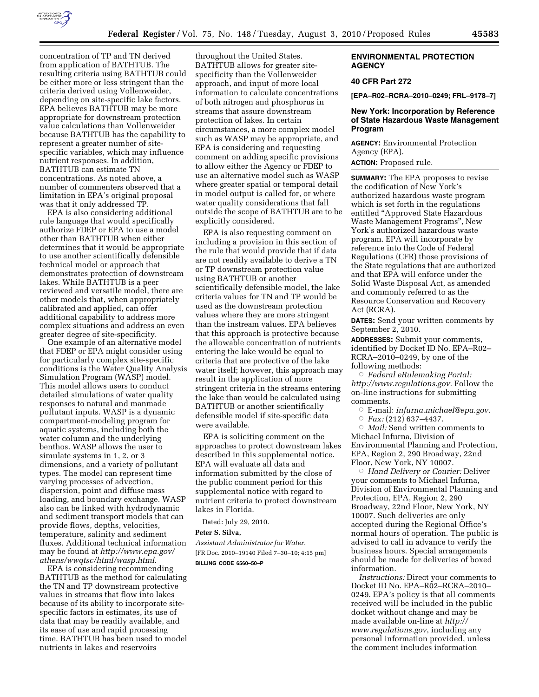

concentration of TP and TN derived from application of BATHTUB. The resulting criteria using BATHTUB could be either more or less stringent than the criteria derived using Vollenweider, depending on site-specific lake factors. EPA believes BATHTUB may be more appropriate for downstream protection value calculations than Vollenweider because BATHTUB has the capability to represent a greater number of sitespecific variables, which may influence nutrient responses. In addition, BATHTUB can estimate TN concentrations. As noted above, a number of commenters observed that a limitation in EPA's original proposal was that it only addressed TP.

EPA is also considering additional rule language that would specifically authorize FDEP or EPA to use a model other than BATHTUB when either determines that it would be appropriate to use another scientifically defensible technical model or approach that demonstrates protection of downstream lakes. While BATHTUB is a peer reviewed and versatile model, there are other models that, when appropriately calibrated and applied, can offer additional capability to address more complex situations and address an even greater degree of site-specificity.

One example of an alternative model that FDEP or EPA might consider using for particularly complex site-specific conditions is the Water Quality Analysis Simulation Program (WASP) model. This model allows users to conduct detailed simulations of water quality responses to natural and manmade pollutant inputs. WASP is a dynamic compartment-modeling program for aquatic systems, including both the water column and the underlying benthos. WASP allows the user to simulate systems in 1, 2, or 3 dimensions, and a variety of pollutant types. The model can represent time varying processes of advection, dispersion, point and diffuse mass loading, and boundary exchange. WASP also can be linked with hydrodynamic and sediment transport models that can provide flows, depths, velocities, temperature, salinity and sediment fluxes. Additional technical information may be found at *[http://www.epa.gov/](http://www.epa.gov/athens/wwqtsc/html/wasp.html)  [athens/wwqtsc/html/wasp.html](http://www.epa.gov/athens/wwqtsc/html/wasp.html)*.

EPA is considering recommending BATHTUB as the method for calculating the TN and TP downstream protective values in streams that flow into lakes because of its ability to incorporate sitespecific factors in estimates, its use of data that may be readily available, and its ease of use and rapid processing time. BATHTUB has been used to model nutrients in lakes and reservoirs

throughout the United States. BATHTUB allows for greater sitespecificity than the Vollenweider approach, and input of more local information to calculate concentrations of both nitrogen and phosphorus in streams that assure downstream protection of lakes. In certain circumstances, a more complex model such as WASP may be appropriate, and EPA is considering and requesting comment on adding specific provisions to allow either the Agency or FDEP to use an alternative model such as WASP where greater spatial or temporal detail in model output is called for, or where water quality considerations that fall outside the scope of BATHTUB are to be explicitly considered.

EPA is also requesting comment on including a provision in this section of the rule that would provide that if data are not readily available to derive a TN or TP downstream protection value using BATHTUB or another scientifically defensible model, the lake criteria values for TN and TP would be used as the downstream protection values where they are more stringent than the instream values. EPA believes that this approach is protective because the allowable concentration of nutrients entering the lake would be equal to criteria that are protective of the lake water itself; however, this approach may result in the application of more stringent criteria in the streams entering the lake than would be calculated using BATHTUB or another scientifically defensible model if site-specific data were available.

EPA is soliciting comment on the approaches to protect downstream lakes described in this supplemental notice. EPA will evaluate all data and information submitted by the close of the public comment period for this supplemental notice with regard to nutrient criteria to protect downstream lakes in Florida.

Dated: July 29, 2010.

# **Peter S. Silva,**

*Assistant Administrator for Water.*  [FR Doc. 2010–19140 Filed 7–30–10; 4:15 pm] **BILLING CODE 6560–50–P** 

### **ENVIRONMENTAL PROTECTION AGENCY**

## **40 CFR Part 272**

**[EPA–R02–RCRA–2010–0249; FRL–9178–7]** 

## **New York: Incorporation by Reference of State Hazardous Waste Management Program**

**AGENCY:** Environmental Protection Agency (EPA). **ACTION:** Proposed rule.

**SUMMARY:** The EPA proposes to revise the codification of New York's authorized hazardous waste program which is set forth in the regulations entitled ''Approved State Hazardous Waste Management Programs'', New York's authorized hazardous waste program. EPA will incorporate by reference into the Code of Federal Regulations (CFR) those provisions of the State regulations that are authorized and that EPA will enforce under the Solid Waste Disposal Act, as amended and commonly referred to as the Resource Conservation and Recovery Act (RCRA).

**DATES:** Send your written comments by September 2, 2010.

**ADDRESSES:** Submit your comments, identified by Docket ID No. EPA–R02– RCRA–2010–0249, by one of the following methods:

Æ *Federal eRulemaking Portal: [http://www.regulations.gov.](http://www.regulations.gov)* Follow the on-line instructions for submitting comments.

- Æ E-mail: *[infurna.michael@epa.gov.](mailto:infurna.michael@epa.gov)*
- Æ *Fax:* (212) 637–4437.

Æ *Mail:* Send written comments to Michael Infurna, Division of Environmental Planning and Protection, EPA, Region 2, 290 Broadway, 22nd Floor, New York, NY 10007.

Æ *Hand Delivery or Courier:* Deliver your comments to Michael Infurna, Division of Environmental Planning and Protection, EPA, Region 2, 290 Broadway, 22nd Floor, New York, NY 10007. Such deliveries are only accepted during the Regional Office's normal hours of operation. The public is advised to call in advance to verify the business hours. Special arrangements should be made for deliveries of boxed information.

*Instructions:* Direct your comments to Docket ID No. EPA–R02–RCRA–2010– 0249. EPA's policy is that all comments received will be included in the public docket without change and may be made available on-line at *[http://](http://www.regulations.gov)  [www.regulations.gov](http://www.regulations.gov)*, including any personal information provided, unless the comment includes information